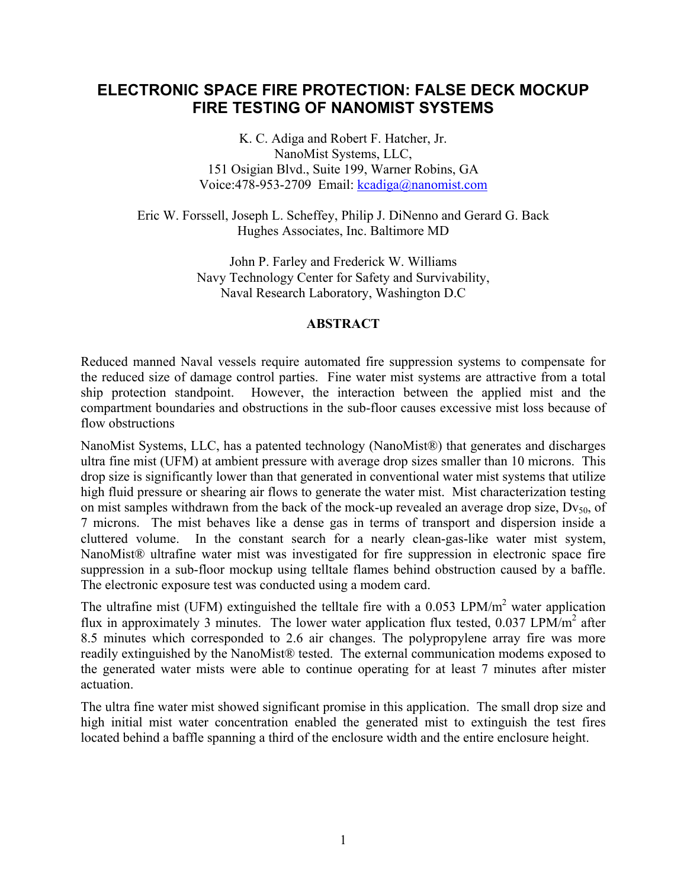# **ELECTRONIC SPACE FIRE PROTECTION: FALSE DECK MOCKUP FIRE TESTING OF NANOMIST SYSTEMS**

K. C. Adiga and Robert F. Hatcher, Jr. NanoMist Systems, LLC, 151 Osigian Blvd., Suite 199, Warner Robins, GA Voice:478-953-2709 Email: [kcadiga@nanomist.com](mailto:kcadiga@nanomist.com)

Eric W. Forssell, Joseph L. Scheffey, Philip J. DiNenno and Gerard G. Back Hughes Associates, Inc. Baltimore MD

> John P. Farley and Frederick W. Williams Navy Technology Center for Safety and Survivability, Naval Research Laboratory, Washington D.C

# **ABSTRACT**

Reduced manned Naval vessels require automated fire suppression systems to compensate for the reduced size of damage control parties. Fine water mist systems are attractive from a total ship protection standpoint. However, the interaction between the applied mist and the compartment boundaries and obstructions in the sub-floor causes excessive mist loss because of flow obstructions

NanoMist Systems, LLC, has a patented technology (NanoMist®) that generates and discharges ultra fine mist (UFM) at ambient pressure with average drop sizes smaller than 10 microns. This drop size is significantly lower than that generated in conventional water mist systems that utilize high fluid pressure or shearing air flows to generate the water mist. Mist characterization testing on mist samples withdrawn from the back of the mock-up revealed an average drop size,  $Dv_{50}$ , of 7 microns. The mist behaves like a dense gas in terms of transport and dispersion inside a cluttered volume. In the constant search for a nearly clean-gas-like water mist system, NanoMist® ultrafine water mist was investigated for fire suppression in electronic space fire suppression in a sub-floor mockup using telltale flames behind obstruction caused by a baffle. The electronic exposure test was conducted using a modem card.

The ultrafine mist (UFM) extinguished the telltale fire with a  $0.053$  LPM/m<sup>2</sup> water application flux in approximately 3 minutes. The lower water application flux tested,  $0.037$  LPM/m<sup>2</sup> after 8.5 minutes which corresponded to 2.6 air changes. The polypropylene array fire was more readily extinguished by the NanoMist® tested. The external communication modems exposed to the generated water mists were able to continue operating for at least 7 minutes after mister actuation.

The ultra fine water mist showed significant promise in this application. The small drop size and high initial mist water concentration enabled the generated mist to extinguish the test fires located behind a baffle spanning a third of the enclosure width and the entire enclosure height.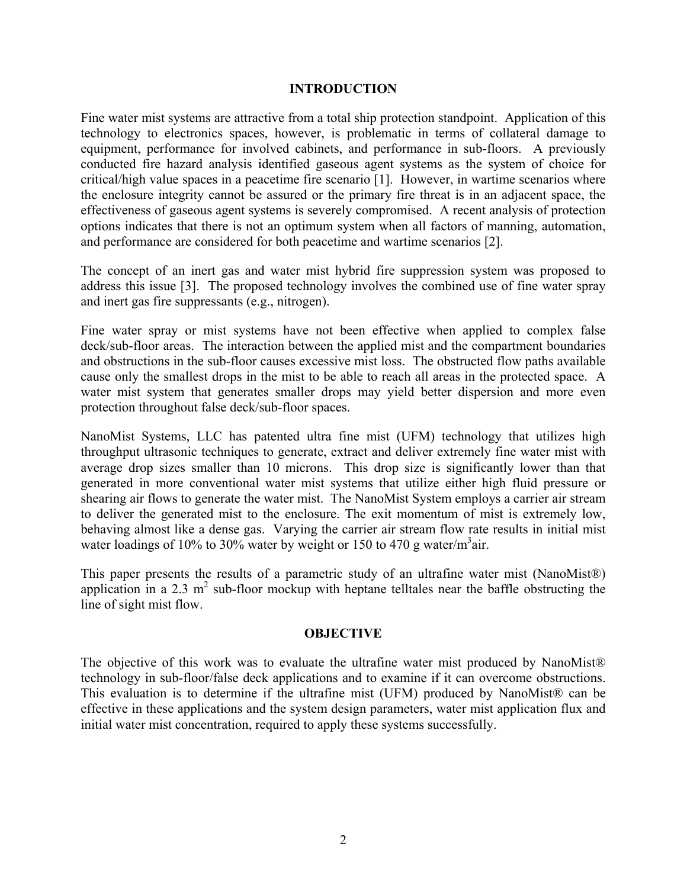### **INTRODUCTION**

Fine water mist systems are attractive from a total ship protection standpoint. Application of this technology to electronics spaces, however, is problematic in terms of collateral damage to equipment, performance for involved cabinets, and performance in sub-floors. A previously conducted fire hazard analysis identified gaseous agent systems as the system of choice for critical/high value spaces in a peacetime fire scenario [1]. However, in wartime scenarios where the enclosure integrity cannot be assured or the primary fire threat is in an adjacent space, the effectiveness of gaseous agent systems is severely compromised. A recent analysis of protection options indicates that there is not an optimum system when all factors of manning, automation, and performance are considered for both peacetime and wartime scenarios [2].

The concept of an inert gas and water mist hybrid fire suppression system was proposed to address this issue [3]. The proposed technology involves the combined use of fine water spray and inert gas fire suppressants (e.g., nitrogen).

Fine water spray or mist systems have not been effective when applied to complex false deck/sub-floor areas. The interaction between the applied mist and the compartment boundaries and obstructions in the sub-floor causes excessive mist loss. The obstructed flow paths available cause only the smallest drops in the mist to be able to reach all areas in the protected space. A water mist system that generates smaller drops may yield better dispersion and more even protection throughout false deck/sub-floor spaces.

NanoMist Systems, LLC has patented ultra fine mist (UFM) technology that utilizes high throughput ultrasonic techniques to generate, extract and deliver extremely fine water mist with average drop sizes smaller than 10 microns. This drop size is significantly lower than that generated in more conventional water mist systems that utilize either high fluid pressure or shearing air flows to generate the water mist. The NanoMist System employs a carrier air stream to deliver the generated mist to the enclosure. The exit momentum of mist is extremely low, behaving almost like a dense gas. Varying the carrier air stream flow rate results in initial mist water loadings of 10% to 30% water by weight or 150 to 470 g water/ $m<sup>3</sup>$ air.

This paper presents the results of a parametric study of an ultrafine water mist (NanoMist®) application in a 2.3  $m^2$  sub-floor mockup with heptane telltales near the baffle obstructing the line of sight mist flow.

### **OBJECTIVE**

The objective of this work was to evaluate the ultrafine water mist produced by NanoMist® technology in sub-floor/false deck applications and to examine if it can overcome obstructions. This evaluation is to determine if the ultrafine mist (UFM) produced by NanoMist® can be effective in these applications and the system design parameters, water mist application flux and initial water mist concentration, required to apply these systems successfully.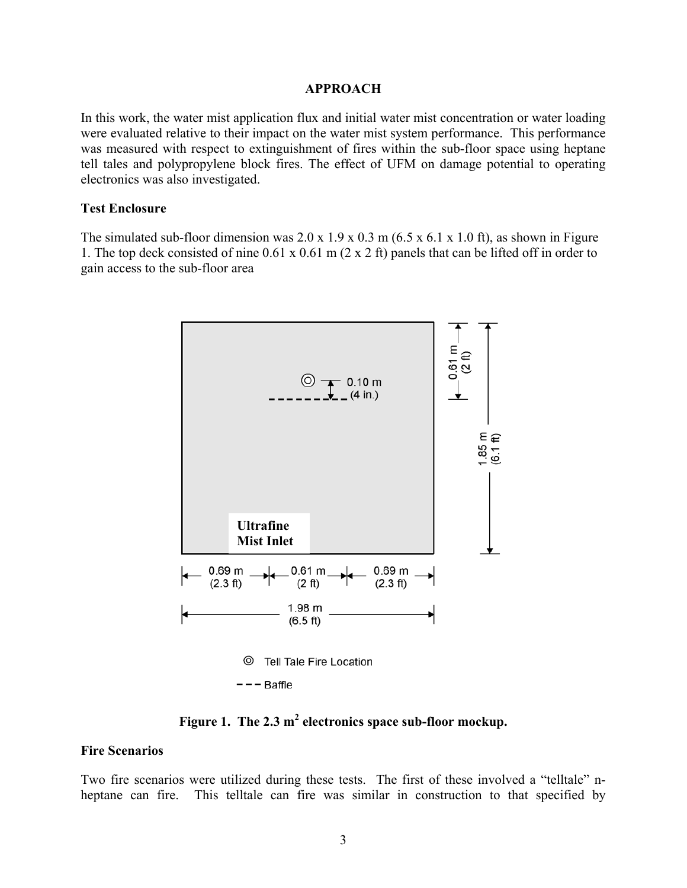#### **APPROACH**

In this work, the water mist application flux and initial water mist concentration or water loading were evaluated relative to their impact on the water mist system performance. This performance was measured with respect to extinguishment of fires within the sub-floor space using heptane tell tales and polypropylene block fires. The effect of UFM on damage potential to operating electronics was also investigated.

#### **Test Enclosure**

The simulated sub-floor dimension was  $2.0 \times 1.9 \times 0.3 \text{ m}$  (6.5 x 6.1 x 1.0 ft), as shown in Figure 1. The top deck consisted of nine 0.61 x 0.61 m (2 x 2 ft) panels that can be lifted off in order to gain access to the sub-floor area



Figure 1. The 2.3 m<sup>2</sup> electronics space sub-floor mockup.

#### **Fire Scenarios**

Two fire scenarios were utilized during these tests. The first of these involved a "telltale" nheptane can fire. This telltale can fire was similar in construction to that specified by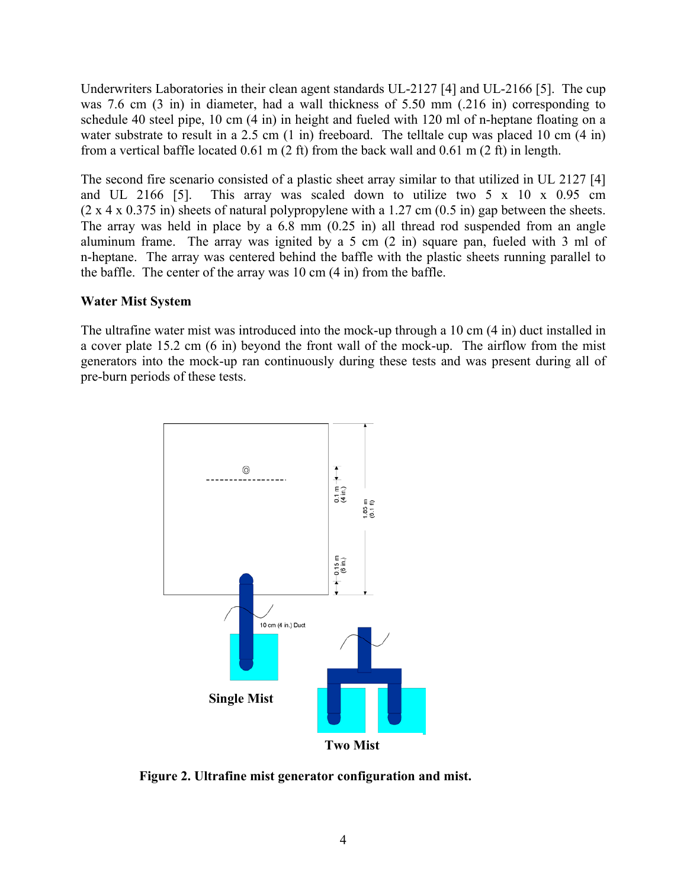Underwriters Laboratories in their clean agent standards UL-2127 [4] and UL-2166 [5]. The cup was 7.6 cm (3 in) in diameter, had a wall thickness of 5.50 mm (.216 in) corresponding to schedule 40 steel pipe, 10 cm (4 in) in height and fueled with 120 ml of n-heptane floating on a water substrate to result in a 2.5 cm (1 in) freeboard. The telltale cup was placed 10 cm (4 in) from a vertical baffle located 0.61 m (2 ft) from the back wall and 0.61 m (2 ft) in length.

The second fire scenario consisted of a plastic sheet array similar to that utilized in UL 2127 [4] and UL 2166 [5]. This array was scaled down to utilize two 5 x 10 x 0.95 cm  $(2 \times 4 \times 0.375)$  in) sheets of natural polypropylene with a 1.27 cm  $(0.5 \text{ in})$  gap between the sheets. The array was held in place by a 6.8 mm (0.25 in) all thread rod suspended from an angle aluminum frame. The array was ignited by a 5 cm (2 in) square pan, fueled with 3 ml of n-heptane. The array was centered behind the baffle with the plastic sheets running parallel to the baffle. The center of the array was 10 cm (4 in) from the baffle.

# **Water Mist System**

The ultrafine water mist was introduced into the mock-up through a 10 cm (4 in) duct installed in a cover plate 15.2 cm (6 in) beyond the front wall of the mock-up. The airflow from the mist generators into the mock-up ran continuously during these tests and was present during all of pre-burn periods of these tests.



**Figure 2. Ultrafine mist generator configuration and mist.**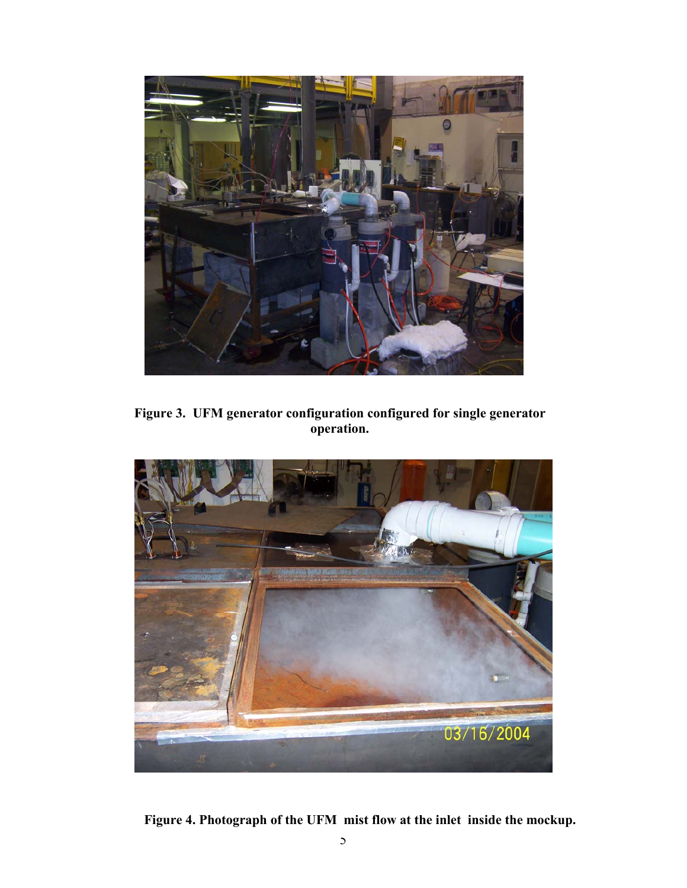

**Figure 3. UFM generator configuration configured for single generator operation.**



**Figure 4. Photograph of the UFM mist flow at the inlet inside the mockup.**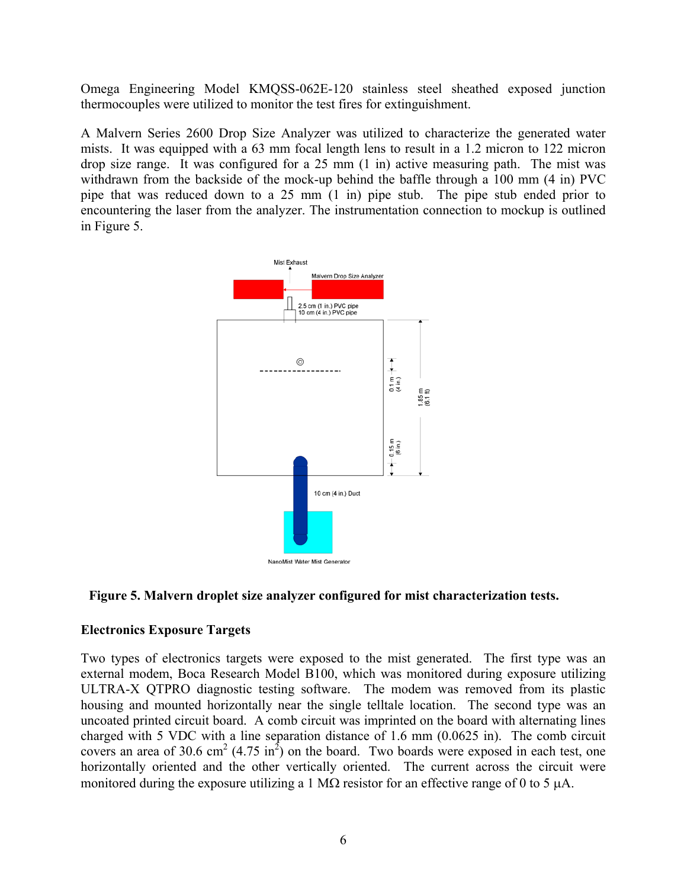Omega Engineering Model KMQSS-062E-120 stainless steel sheathed exposed junction thermocouples were utilized to monitor the test fires for extinguishment.

A Malvern Series 2600 Drop Size Analyzer was utilized to characterize the generated water mists. It was equipped with a 63 mm focal length lens to result in a 1.2 micron to 122 micron drop size range. It was configured for a 25 mm (1 in) active measuring path. The mist was withdrawn from the backside of the mock-up behind the baffle through a 100 mm (4 in) PVC pipe that was reduced down to a 25 mm (1 in) pipe stub. The pipe stub ended prior to encountering the laser from the analyzer. The instrumentation connection to mockup is outlined in Figure 5.





# **Electronics Exposure Targets**

Two types of electronics targets were exposed to the mist generated. The first type was an external modem, Boca Research Model B100, which was monitored during exposure utilizing ULTRA-X QTPRO diagnostic testing software. The modem was removed from its plastic housing and mounted horizontally near the single telltale location. The second type was an uncoated printed circuit board. A comb circuit was imprinted on the board with alternating lines charged with 5 VDC with a line separation distance of 1.6 mm (0.0625 in). The comb circuit covers an area of 30.6 cm<sup>2</sup> (4.75 in<sup>2</sup>) on the board. Two boards were exposed in each test, one horizontally oriented and the other vertically oriented. The current across the circuit were monitored during the exposure utilizing a 1 MΩ resistor for an effective range of 0 to 5  $\mu$ A.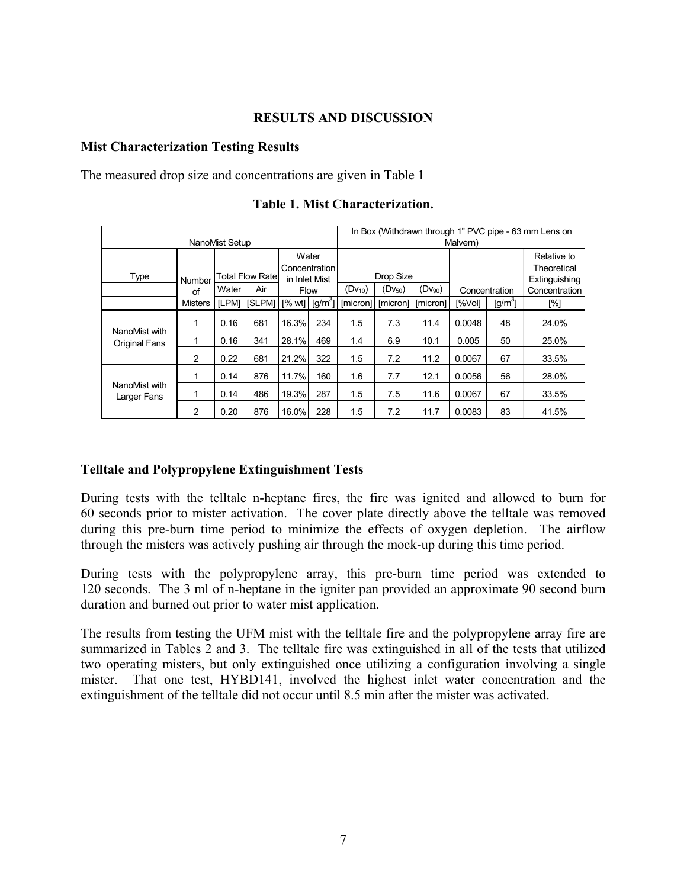# **RESULTS AND DISCUSSION**

### **Mist Characterization Testing Results**

The measured drop size and concentrations are given in Table 1

|                                       |                |              |                         |                                                |                   |             | In Box (Withdrawn through 1" PVC pipe - 63 mm Lens on |             |               |           |                                             |  |  |  |
|---------------------------------------|----------------|--------------|-------------------------|------------------------------------------------|-------------------|-------------|-------------------------------------------------------|-------------|---------------|-----------|---------------------------------------------|--|--|--|
| NanoMist Setup                        |                |              |                         |                                                |                   |             | Malvern)                                              |             |               |           |                                             |  |  |  |
| Type                                  | Number         |              | <b>Total Flow Ratel</b> | Water<br><b>Concentration</b><br>in Inlet Mist |                   | Drop Size   |                                                       |             |               |           | Relative to<br>Theoretical<br>Extinguishing |  |  |  |
|                                       | of             | Water<br>Air |                         | <b>Flow</b>                                    |                   | $(Dv_{10})$ | $(Dv_{50})$                                           | $(Dv_{90})$ | Concentration |           | Concentration                               |  |  |  |
|                                       | <b>Misters</b> | <b>ILPMI</b> | <b>ISLPMI</b>           |                                                | $[%wt]$ $[g/m^3]$ | [micron]    | [micron]                                              | [micron]    | [%Vol]        | $[g/m^3]$ | [%]                                         |  |  |  |
| NanoMist with<br><b>Original Fans</b> | 1              | 0.16         | 681                     | 16.3%                                          | 234               | 1.5         | 7.3                                                   | 11.4        | 0.0048        | 48        | 24.0%                                       |  |  |  |
|                                       | 1              | 0.16         | 341                     | 28.1%                                          | 469               | 1.4         | 6.9                                                   | 10.1        | 0.005         | 50        | 25.0%                                       |  |  |  |
|                                       | 2              | 0.22         | 681                     | 21.2%                                          | 322               | 1.5         | 7.2                                                   | 11.2        | 0.0067        | 67        | 33.5%                                       |  |  |  |
| NanoMist with<br>Larger Fans          | 1              | 0.14         | 876                     | 11.7%                                          | 160               | 1.6         | 7.7                                                   | 12.1        | 0.0056        | 56        | 28.0%                                       |  |  |  |
|                                       |                | 0.14         | 486                     | 19.3%                                          | 287               | 1.5         | 7.5                                                   | 11.6        | 0.0067        | 67        | 33.5%                                       |  |  |  |
|                                       | 2              | 0.20         | 876                     | 16.0%                                          | 228               | 1.5         | 7.2                                                   | 11.7        | 0.0083        | 83        | 41.5%                                       |  |  |  |

**Table 1. Mist Characterization.** 

### **Telltale and Polypropylene Extinguishment Tests**

During tests with the telltale n-heptane fires, the fire was ignited and allowed to burn for 60 seconds prior to mister activation. The cover plate directly above the telltale was removed during this pre-burn time period to minimize the effects of oxygen depletion. The airflow through the misters was actively pushing air through the mock-up during this time period.

During tests with the polypropylene array, this pre-burn time period was extended to 120 seconds. The 3 ml of n-heptane in the igniter pan provided an approximate 90 second burn duration and burned out prior to water mist application.

The results from testing the UFM mist with the telltale fire and the polypropylene array fire are summarized in Tables 2 and 3. The telltale fire was extinguished in all of the tests that utilized two operating misters, but only extinguished once utilizing a configuration involving a single mister. That one test, HYBD141, involved the highest inlet water concentration and the extinguishment of the telltale did not occur until 8.5 min after the mister was activated.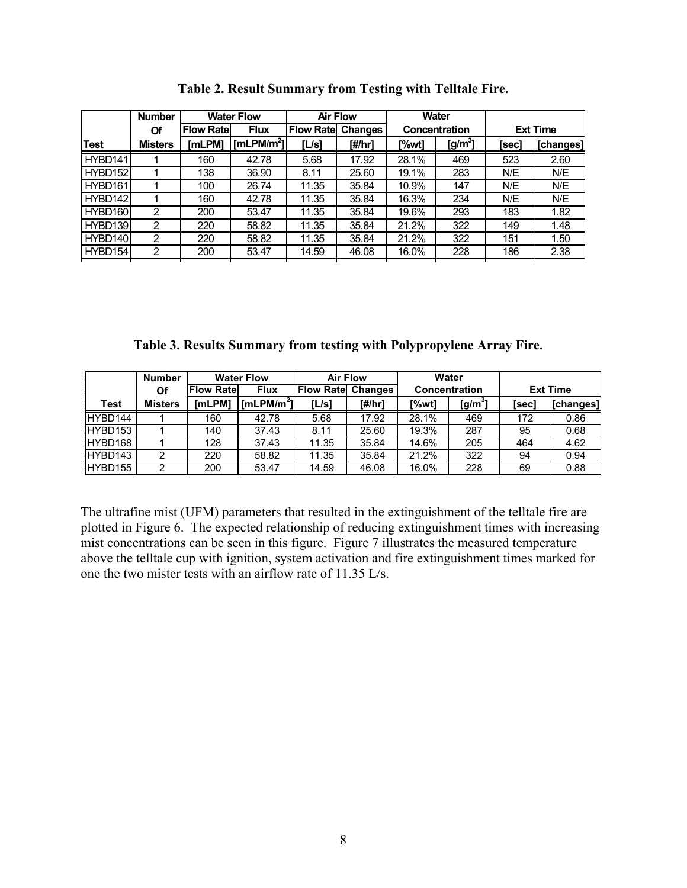|         | <b>Number</b>  |                                  | <b>Water Flow</b>      |                             | <b>Air Flow</b> |       | <b>Water</b>  |                 |           |  |
|---------|----------------|----------------------------------|------------------------|-----------------------------|-----------------|-------|---------------|-----------------|-----------|--|
|         | Of             | <b>Flux</b><br><b>Flow Ratel</b> |                        | <b>Flow Rate</b><br>Changes |                 |       | Concentration | <b>Ext Time</b> |           |  |
| Test    | <b>Misters</b> | [mLPM]                           | [mLPM/m <sup>2</sup> ] | [L/s]                       | [#/hr]          | [%wt] | $[g/m^3]$     | [sec]           | [changes] |  |
| HYBD141 |                | 160                              | 42.78                  | 5.68                        | 17.92           | 28.1% | 469           | 523             | 2.60      |  |
| HYBD152 |                | 138                              | 36.90                  | 8.11                        | 25.60           | 19.1% | 283           | N/E             | N/E       |  |
| HYBD161 |                | 100                              | 26.74                  | 11.35                       | 35.84           | 10.9% | 147           | N/E             | N/E       |  |
| HYBD142 |                | 160                              | 42.78                  | 11.35                       | 35.84           | 16.3% | 234           | N/E             | N/E       |  |
| HYBD160 | 2              | 200                              | 53.47                  | 11.35                       | 35.84           | 19.6% | 293           | 183             | 1.82      |  |
| HYBD139 | 2              | 220                              | 58.82                  | 11.35                       | 35.84           | 21.2% | 322           | 149             | 1.48      |  |
| HYBD140 | 2              | 220                              | 58.82                  | 11.35                       | 35.84           | 21.2% | 322           | 151             | 1.50      |  |
| HYBD154 | າ              | 200                              | 53.47                  | 14.59                       | 46.08           | 16.0% | 228           | 186             | 2.38      |  |
|         |                |                                  |                        |                             |                 |       |               |                 |           |  |

**Table 2. Result Summary from Testing with Telltale Fire.**

**Table 3. Results Summary from testing with Polypropylene Array Fire.** 

|         | <b>Number</b>  |                   | <b>Water Flow</b>      | <b>Air Flow</b>           |        |                      | Water       |                 |           |
|---------|----------------|-------------------|------------------------|---------------------------|--------|----------------------|-------------|-----------------|-----------|
|         | Of             | <b>Flow Ratel</b> | <b>Flux</b>            | <b>Flow Ratel Changes</b> |        | <b>Concentration</b> |             | <b>Ext Time</b> |           |
| Test    | <b>Misters</b> | [mLPM]            | [mLPM/m <sup>2</sup> ] | [L/s]                     | [#/hr] | [%wt]                | [g/m $^3$ ] | [sec]           | [changes] |
| HYBD144 |                | 160               | 42.78                  | 5.68                      | 17.92  | 28.1%                | 469         | 172             | 0.86      |
| HYBD153 |                | 140               | 37.43                  | 8.11                      | 25.60  | 19.3%                | 287         | 95              | 0.68      |
| HYBD168 |                | 128               | 37.43                  | 11.35                     | 35.84  | 14.6%                | 205         | 464             | 4.62      |
| HYBD143 |                | 220               | 58.82                  | 11.35                     | 35.84  | 21.2%                | 322         | 94              | 0.94      |
| HYBD155 | っ              | 200               | 53.47                  | 14.59                     | 46.08  | 16.0%                | 228         | 69              | 0.88      |

The ultrafine mist (UFM) parameters that resulted in the extinguishment of the telltale fire are plotted in Figure 6. The expected relationship of reducing extinguishment times with increasing mist concentrations can be seen in this figure. Figure 7 illustrates the measured temperature above the telltale cup with ignition, system activation and fire extinguishment times marked for one the two mister tests with an airflow rate of 11.35 L/s.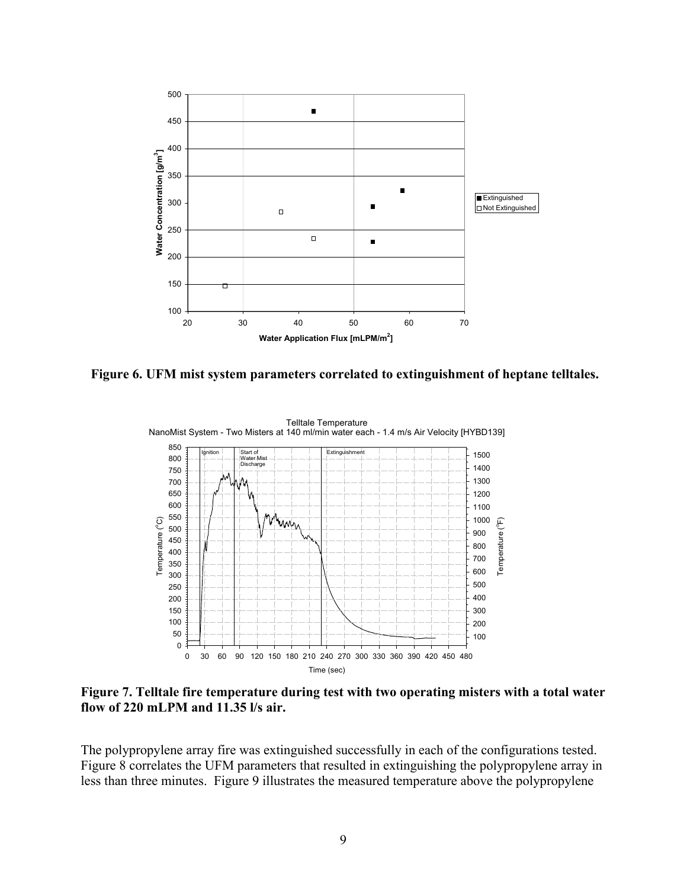

**Figure 6. UFM mist system parameters correlated to extinguishment of heptane telltales.** 



**Figure 7. Telltale fire temperature during test with two operating misters with a total water flow of 220 mLPM and 11.35 l/s air.** 

The polypropylene array fire was extinguished successfully in each of the configurations tested. Figure 8 correlates the UFM parameters that resulted in extinguishing the polypropylene array in less than three minutes. Figure 9 illustrates the measured temperature above the polypropylene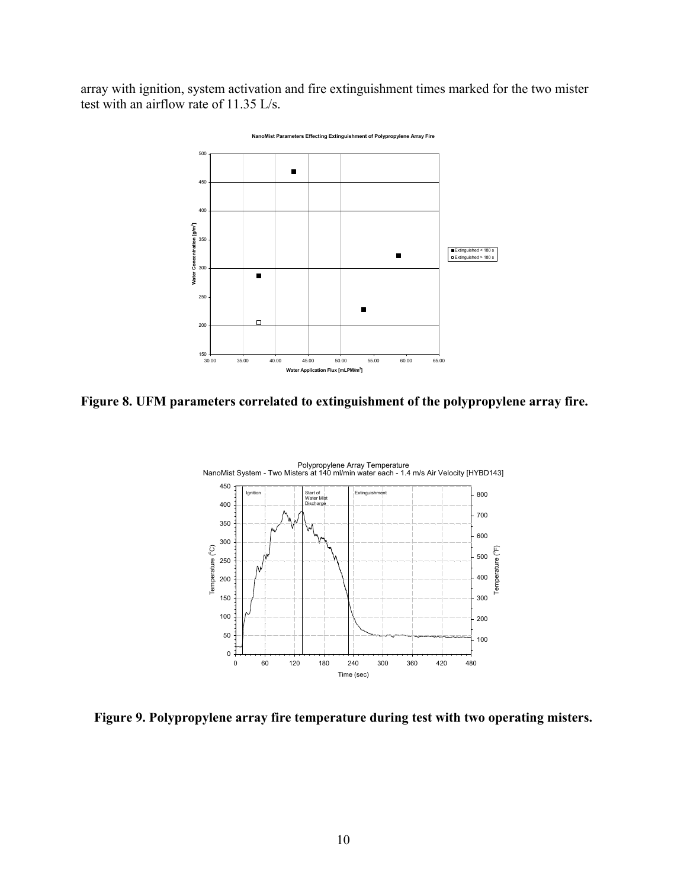array with ignition, system activation and fire extinguishment times marked for the two mister test with an airflow rate of 11.35 L/s.



**Figure 8. UFM parameters correlated to extinguishment of the polypropylene array fire.** 



**Figure 9. Polypropylene array fire temperature during test with two operating misters.**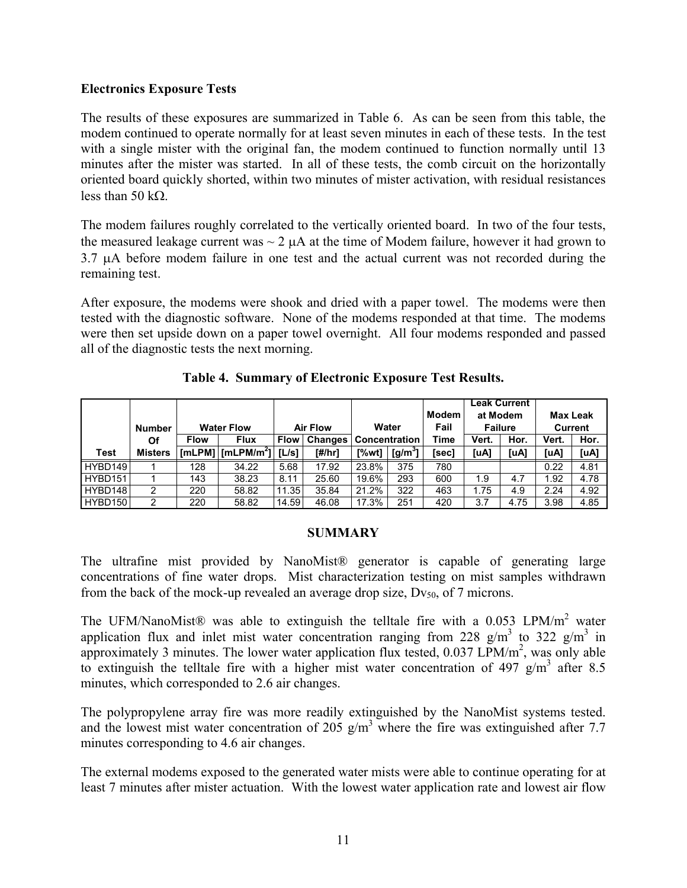# **Electronics Exposure Tests**

The results of these exposures are summarized in Table 6. As can be seen from this table, the modem continued to operate normally for at least seven minutes in each of these tests. In the test with a single mister with the original fan, the modem continued to function normally until 13 minutes after the mister was started. In all of these tests, the comb circuit on the horizontally oriented board quickly shorted, within two minutes of mister activation, with residual resistances less than 50 kΩ.

The modem failures roughly correlated to the vertically oriented board. In two of the four tests, the measured leakage current was  $\sim 2 \mu A$  at the time of Modem failure, however it had grown to 3.7 µA before modem failure in one test and the actual current was not recorded during the remaining test.

After exposure, the modems were shook and dried with a paper towel. The modems were then tested with the diagnostic software. None of the modems responded at that time. The modems were then set upside down on a paper towel overnight. All four modems responded and passed all of the diagnostic tests the next morning.

|         |                |                   |                                                                      |                 |                |               |           |       | <b>Leak Current</b> |      |                |      |
|---------|----------------|-------------------|----------------------------------------------------------------------|-----------------|----------------|---------------|-----------|-------|---------------------|------|----------------|------|
|         |                |                   |                                                                      |                 |                |               |           | Modem | at Modem            |      | Max Leak       |      |
|         | <b>Number</b>  | <b>Water Flow</b> |                                                                      | <b>Air Flow</b> |                | Water         |           | Fail  | <b>Failure</b>      |      | <b>Current</b> |      |
|         | Οf             | <b>Flow</b>       | <b>Flux</b>                                                          | <b>Flow</b>     | <b>Changes</b> | Concentration |           | Time  | Vert.               | Hor. | Vert.          | Hor. |
| Test    | <b>Misters</b> |                   | $\lceil \textsf{mLPM} \rceil \lceil \textsf{mLPM/m}^2 \rceil \rceil$ | IL/s1           | [#/hr]         | [%wt]         | $[g/m^3]$ | [sec] | [uA]                | [uA] | [uA]           | [uA] |
| HYBD149 |                | 128               | 34.22                                                                | 5.68            | 17.92          | 23.8%         | 375       | 780   |                     |      | 0.22           | 4.81 |
| HYBD151 |                | 143               | 38.23                                                                | 8.11            | 25.60          | 19.6%         | 293       | 600   | 1.9                 | 4.7  | 1.92           | 4.78 |
| HYBD148 | 2              | 220               | 58.82                                                                | 11.35           | 35.84          | 21.2%         | 322       | 463   | 1.75                | 4.9  | 2.24           | 4.92 |
| HYBD150 | 2              | 220               | 58.82                                                                | 14.59           | 46.08          | 17.3%         | 251       | 420   | 3.7                 | 4.75 | 3.98           | 4.85 |

**Table 4. Summary of Electronic Exposure Test Results.** 

### **SUMMARY**

The ultrafine mist provided by NanoMist® generator is capable of generating large concentrations of fine water drops. Mist characterization testing on mist samples withdrawn from the back of the mock-up revealed an average drop size,  $Dv_{50}$ , of 7 microns.

The UFM/NanoMist® was able to extinguish the telltale fire with a  $0.053$  LPM/m<sup>2</sup> water application flux and inlet mist water concentration ranging from 228  $g/m<sup>3</sup>$  to 322  $g/m<sup>3</sup>$  in approximately 3 minutes. The lower water application flux tested,  $0.037$  LPM/m<sup>2</sup>, was only able to extinguish the telltale fire with a higher mist water concentration of  $497 \text{ g/m}^3$  after 8.5 minutes, which corresponded to 2.6 air changes.

The polypropylene array fire was more readily extinguished by the NanoMist systems tested. and the lowest mist water concentration of 205  $\frac{g}{m^3}$  where the fire was extinguished after 7.7 minutes corresponding to 4.6 air changes.

The external modems exposed to the generated water mists were able to continue operating for at least 7 minutes after mister actuation. With the lowest water application rate and lowest air flow